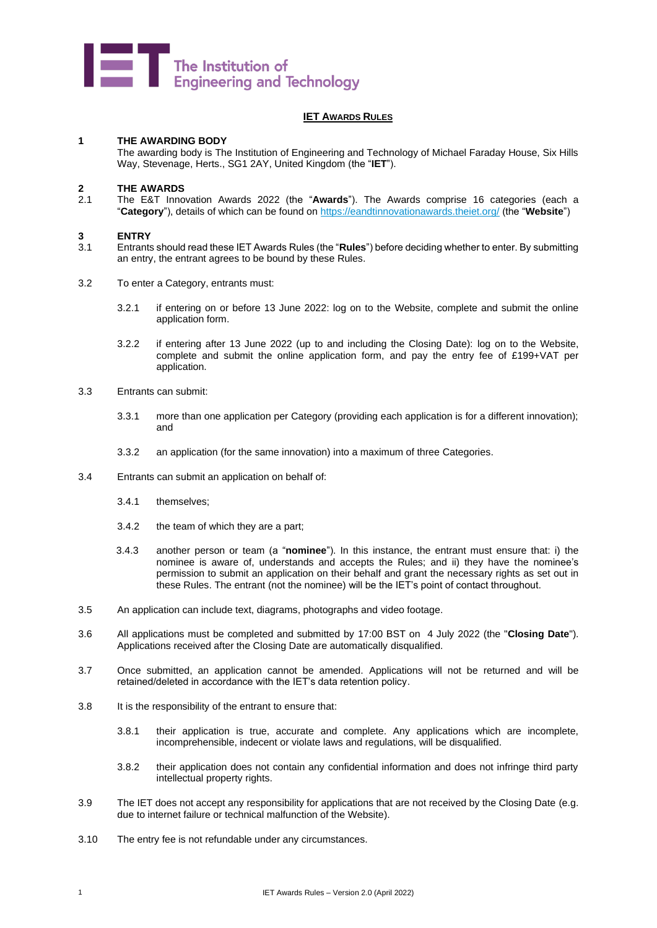

#### **IET AWARDS RULES**

#### **1 THE AWARDING BODY**

The awarding body is The Institution of Engineering and Technology of Michael Faraday House, Six Hills Way, Stevenage, Herts., SG1 2AY, United Kingdom (the "**IET**").

# **2 THE AWARDS**

2.1 The E&T Innovation Awards 2022 (the "**Awards**"). The Awards comprise 16 categories (each a "**Category**"), details of which can be found on<https://eandtinnovationawards.theiet.org/> (the "**Website**")

# **3 ENTRY**

- 3.1 Entrants should read these IET Awards Rules (the "**Rules**") before deciding whether to enter. By submitting an entry, the entrant agrees to be bound by these Rules.
- 3.2 To enter a Category, entrants must:
	- 3.2.1 if entering on or before 13 June 2022: log on to the Website, complete and submit the online application form.
	- 3.2.2 if entering after 13 June 2022 (up to and including the Closing Date): log on to the Website, complete and submit the online application form, and pay the entry fee of £199+VAT per application.
- 3.3 Entrants can submit:
	- 3.3.1 more than one application per Category (providing each application is for a different innovation); and
	- 3.3.2 an application (for the same innovation) into a maximum of three Categories.
- 3.4 Entrants can submit an application on behalf of:
	- 3.4.1 themselves;
	- 3.4.2 the team of which they are a part;
	- 3.4.3 another person or team (a "**nominee**"). In this instance, the entrant must ensure that: i) the nominee is aware of, understands and accepts the Rules; and ii) they have the nominee's permission to submit an application on their behalf and grant the necessary rights as set out in these Rules. The entrant (not the nominee) will be the IET's point of contact throughout.
- 3.5 An application can include text, diagrams, photographs and video footage.
- 3.6 All applications must be completed and submitted by 17:00 BST on 4 July 2022 (the "**Closing Date**"). Applications received after the Closing Date are automatically disqualified.
- 3.7 Once submitted, an application cannot be amended. Applications will not be returned and will be retained/deleted in accordance with the IET's data retention policy.
- 3.8 It is the responsibility of the entrant to ensure that:
	- 3.8.1 their application is true, accurate and complete. Any applications which are incomplete, incomprehensible, indecent or violate laws and regulations, will be disqualified.
	- 3.8.2 their application does not contain any confidential information and does not infringe third party intellectual property rights.
- 3.9 The IET does not accept any responsibility for applications that are not received by the Closing Date (e.g. due to internet failure or technical malfunction of the Website).
- 3.10 The entry fee is not refundable under any circumstances.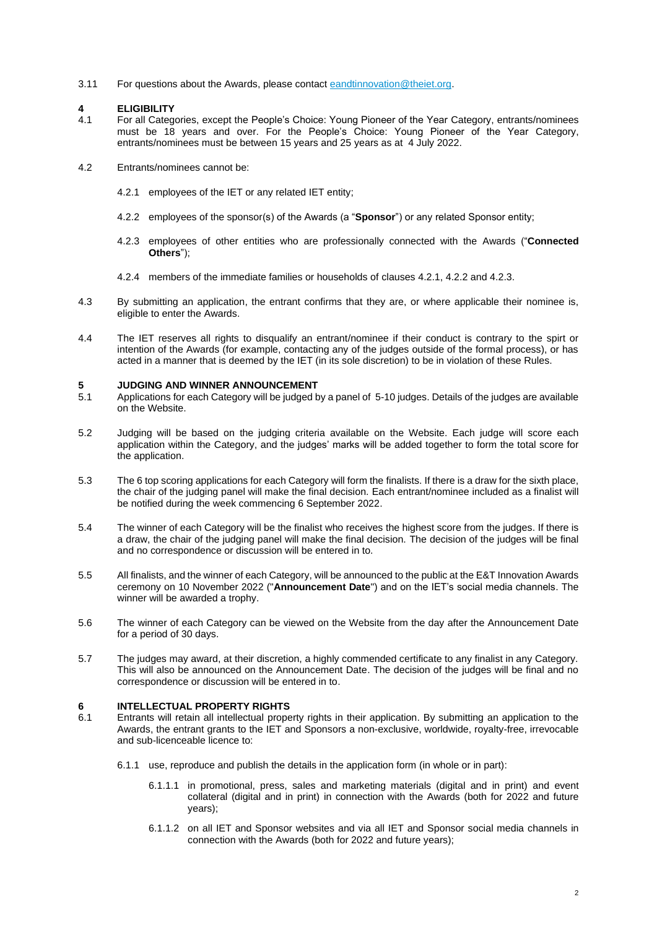3.11 For questions about the Awards, please contact [eandtinnovation@theiet.org.](mailto:eandtinnovation@theiet.org)

### **4 ELIGIBILITY**

- 4.1 For all Categories, except the People's Choice: Young Pioneer of the Year Category, entrants/nominees must be 18 years and over. For the People's Choice: Young Pioneer of the Year Category, entrants/nominees must be between 15 years and 25 years as at 4 July 2022.
- <span id="page-1-1"></span><span id="page-1-0"></span>4.2 Entrants/nominees cannot be:
	- 4.2.1 employees of the IET or any related IET entity;
	- 4.2.2 employees of the sponsor(s) of the Awards (a "**Sponsor**") or any related Sponsor entity;
	- 4.2.3 employees of other entities who are professionally connected with the Awards ("**Connected Others**");
	- 4.2.4 members of the immediate families or households of clauses [4.2.1,](#page-1-0) [4.2.2](#page-1-1) and [4.2.3.](#page-1-2)
- <span id="page-1-2"></span>4.3 By submitting an application, the entrant confirms that they are, or where applicable their nominee is, eligible to enter the Awards.
- 4.4 The IET reserves all rights to disqualify an entrant/nominee if their conduct is contrary to the spirt or intention of the Awards (for example, contacting any of the judges outside of the formal process), or has acted in a manner that is deemed by the IET (in its sole discretion) to be in violation of these Rules.

### **5 JUDGING AND WINNER ANNOUNCEMENT**

- Applications for each Category will be judged by a panel of 5-10 judges. Details of the judges are available on the Website.
- 5.2 Judging will be based on the judging criteria available on the Website. Each judge will score each application within the Category, and the judges' marks will be added together to form the total score for the application.
- 5.3 The 6 top scoring applications for each Category will form the finalists. If there is a draw for the sixth place, the chair of the judging panel will make the final decision. Each entrant/nominee included as a finalist will be notified during the week commencing 6 September 2022.
- 5.4 The winner of each Category will be the finalist who receives the highest score from the judges. If there is a draw, the chair of the judging panel will make the final decision. The decision of the judges will be final and no correspondence or discussion will be entered in to.
- 5.5 All finalists, and the winner of each Category, will be announced to the public at the E&T Innovation Awards ceremony on 10 November 2022 ("**Announcement Date**") and on the IET's social media channels. The winner will be awarded a trophy.
- 5.6 The winner of each Category can be viewed on the Website from the day after the Announcement Date for a period of 30 days.
- 5.7 The judges may award, at their discretion, a highly commended certificate to any finalist in any Category. This will also be announced on the Announcement Date. The decision of the judges will be final and no correspondence or discussion will be entered in to.

# **6 INTELLECTUAL PROPERTY RIGHTS**

- 6.1 Entrants will retain all intellectual property rights in their application. By submitting an application to the Awards, the entrant grants to the IET and Sponsors a non-exclusive, worldwide, royalty-free, irrevocable and sub-licenceable licence to:
	- 6.1.1 use, reproduce and publish the details in the application form (in whole or in part):
		- 6.1.1.1 in promotional, press, sales and marketing materials (digital and in print) and event collateral (digital and in print) in connection with the Awards (both for 2022 and future years);
		- 6.1.1.2 on all IET and Sponsor websites and via all IET and Sponsor social media channels in connection with the Awards (both for 2022 and future years);